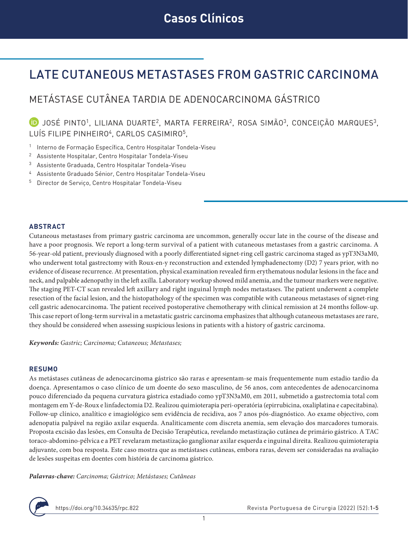# LATE CUTANEOUS METASTASES FROM GASTRIC CARCINOMA

# METÁSTASE CUTÂNEA TARDIA DE ADENOCARCINOMA GÁSTRICO

**D** JOSÉ PINTO<sup>1</sup>, LILIANA DUARTE<sup>2</sup>, MARTA FERREIRA<sup>2</sup>, ROSA SIMÃO<sup>3</sup>, CONCEIÇÃO MARQUES<sup>3</sup>, LUÍS FILIPE PINHEIRO<sup>4</sup>, CARLOS CASIMIRO<sup>5</sup>,

- <sup>1</sup> Interno de Formação Específica, Centro Hospitalar Tondela-Viseu
- <sup>2</sup> Assistente Hospitalar, Centro Hospitalar Tondela-Viseu
- <sup>3</sup> Assistente Graduada, Centro Hospitalar Tondela-Viseu
- <sup>4</sup> Assistente Graduado Sénior, Centro Hospitalar Tondela-Viseu
- <sup>5</sup> Director de Serviço, Centro Hospitalar Tondela-Viseu

#### **ABSTRACT**

Cutaneous metastases from primary gastric carcinoma are uncommon, generally occur late in the course of the disease and have a poor prognosis. We report a long-term survival of a patient with cutaneous metastases from a gastric carcinoma. A 56-year-old patient, previously diagnosed with a poorly differentiated signet-ring cell gastric carcinoma staged as ypT3N3aM0, who underwent total gastrectomy with Roux-en-y reconstruction and extended lymphadenectomy (D2) 7 years prior, with no evidence of disease recurrence. At presentation, physical examination revealed firm erythematous nodular lesions in the face and neck, and palpable adenopathy in the left axilla. Laboratory workup showed mild anemia, and the tumour markers were negative. The staging PET-CT scan revealed left axillary and right inguinal lymph nodes metastases. The patient underwent a complete resection of the facial lesion, and the histopathology of the specimen was compatible with cutaneous metastases of signet-ring cell gastric adenocarcinoma. The patient received postoperative chemotherapy with clinical remission at 24 months follow-up. This case report of long-term survival in a metastatic gastric carcinoma emphasizes that although cutaneous metastases are rare, they should be considered when assessing suspicious lesions in patients with a history of gastric carcinoma.

*Keywords: Gastric; Carcinoma; Cutaneous; Metastases;*

#### **RESUMO**

As metástases cutâneas de adenocarcinoma gástrico são raras e apresentam-se mais frequentemente num estadio tardio da doença. Apresentamos o caso clínico de um doente do sexo masculino, de 56 anos, com antecedentes de adenocarcinoma pouco diferenciado da pequena curvatura gástrica estadiado como ypT3N3aM0, em 2011, submetido a gastrectomia total com montagem em Y-de-Roux e linfadectomia D2. Realizou quimioterapia peri-operatória (epirrubicina, oxaliplatina e capecitabina). Follow-up clínico, analítico e imagiológico sem evidência de recidiva, aos 7 anos pós-diagnóstico. Ao exame objectivo, com adenopatia palpável na região axilar esquerda. Analiticamente com discreta anemia, sem elevação dos marcadores tumorais. Proposta excisão das lesões, em Consulta de Decisão Terapêutica, revelando metastização cutânea de primário gástrico. A TAC toraco-abdomino-pélvica e a PET revelaram metastização ganglionar axilar esquerda e inguinal direita. Realizou quimioterapia adjuvante, com boa resposta. Este caso mostra que as metástases cutâneas, embora raras, devem ser consideradas na avaliação de lesões suspeitas em doentes com história de carcinoma gástrico.

*Palavras-chave: Carcinoma; Gástrico; Metástases; Cutâneas*

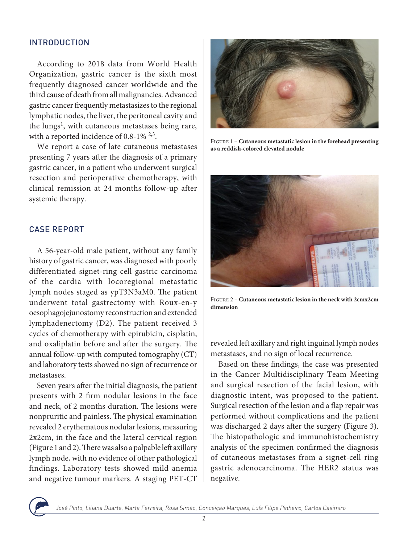### INTRODUCTION

According to 2018 data from World Health Organization, gastric cancer is the sixth most frequently diagnosed cancer worldwide and the third cause of death from all malignancies. Advanced gastric cancer frequently metastasizes to the regional lymphatic nodes, the liver, the peritoneal cavity and the lungs<sup>1</sup>, with cutaneous metastases being rare, with a reported incidence of 0.8-1% <sup>2,3</sup>.

We report a case of late cutaneous metastases presenting 7 years after the diagnosis of a primary gastric cancer, in a patient who underwent surgical resection and perioperative chemotherapy, with clinical remission at 24 months follow-up after systemic therapy.

### CASE REPORT

A 56-year-old male patient, without any family history of gastric cancer, was diagnosed with poorly differentiated signet-ring cell gastric carcinoma of the cardia with locoregional metastatic lymph nodes staged as ypT3N3aM0. The patient underwent total gastrectomy with Roux-en-y oesophagojejunostomy reconstruction and extended lymphadenectomy (D2). The patient received 3 cycles of chemotherapy with epirubicin, cisplatin, and oxaliplatin before and after the surgery. The annual follow-up with computed tomography (CT) and laboratory tests showed no sign of recurrence or metastases.

Seven years after the initial diagnosis, the patient presents with 2 firm nodular lesions in the face and neck, of 2 months duration. The lesions were nonpruritic and painless. The physical examination revealed 2 erythematous nodular lesions, measuring 2x2cm, in the face and the lateral cervical region (Figure 1 and 2). There was also a palpable left axillary lymph node, with no evidence of other pathological findings. Laboratory tests showed mild anemia and negative tumour markers. A staging PET-CT



Figure 1 – **Cutaneous metastatic lesion in the forehead presenting as a reddish-colored elevated nodule**



Figure 2 – **Cutaneous metastatic lesion in the neck with 2cmx2cm dimension**

revealed left axillary and right inguinal lymph nodes metastases, and no sign of local recurrence.

Based on these findings, the case was presented in the Cancer Multidisciplinary Team Meeting and surgical resection of the facial lesion, with diagnostic intent, was proposed to the patient. Surgical resection of the lesion and a flap repair was performed without complications and the patient was discharged 2 days after the surgery (Figure 3). The histopathologic and immunohistochemistry analysis of the specimen confirmed the diagnosis of cutaneous metastases from a signet-cell ring gastric adenocarcinoma. The HER2 status was negative.

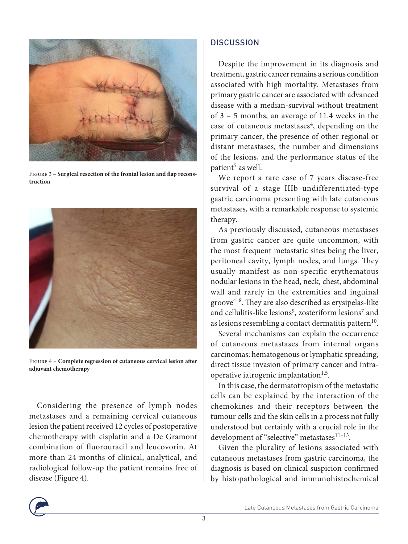

Figure 3 – **Surgical resection of the frontal lesion and flap reconstruction**



Figure 4 – **Complete regression of cutaneous cervical lesion after adjuvant chemotherapy**

Considering the presence of lymph nodes metastases and a remaining cervical cutaneous lesion the patient received 12 cycles of postoperative chemotherapy with cisplatin and a De Gramont combination of fluorouracil and leucovorin. At more than 24 months of clinical, analytical, and radiological follow-up the patient remains free of disease (Figure 4).

# **DISCUSSION**

Despite the improvement in its diagnosis and treatment, gastric cancer remains a serious condition associated with high mortality. Metastases from primary gastric cancer are associated with advanced disease with a median-survival without treatment of 3 – 5 months, an average of 11.4 weeks in the case of cutaneous metastases<sup>4</sup>, depending on the primary cancer, the presence of other regional or distant metastases, the number and dimensions of the lesions, and the performance status of the patient<sup>5</sup> as well.

We report a rare case of 7 years disease-free survival of a stage IIIb undifferentiated-type gastric carcinoma presenting with late cutaneous metastases, with a remarkable response to systemic therapy.

As previously discussed, cutaneous metastases from gastric cancer are quite uncommon, with the most frequent metastatic sites being the liver, peritoneal cavity, lymph nodes, and lungs. They usually manifest as non-specific erythematous nodular lesions in the head, neck, chest, abdominal wall and rarely in the extremities and inguinal groove4–8. They are also described as erysipelas-like and cellulitis-like lesions<sup>9</sup>, zosteriform lesions<sup>7</sup> and as lesions resembling a contact dermatitis pattern<sup>10</sup>.

Several mechanisms can explain the occurrence of cutaneous metastases from internal organs carcinomas: hematogenous or lymphatic spreading, direct tissue invasion of primary cancer and intraoperative iatrogenic implantation<sup>1,5</sup>.

In this case, the dermatotropism of the metastatic cells can be explained by the interaction of the chemokines and their receptors between the tumour cells and the skin cells in a process not fully understood but certainly with a crucial role in the development of "selective" metastases<sup>11-13</sup>.

Given the plurality of lesions associated with cutaneous metastases from gastric carcinoma, the diagnosis is based on clinical suspicion confirmed by histopathological and immunohistochemical

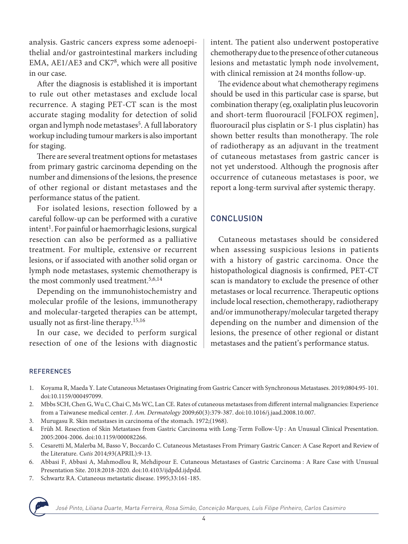analysis. Gastric cancers express some adenoepithelial and/or gastrointestinal markers including EMA, AE1/AE3 and CK78, which were all positive in our case.

After the diagnosis is established it is important to rule out other metastases and exclude local recurrence. A staging PET-CT scan is the most accurate staging modality for detection of solid organ and lymph node metastases<sup>5</sup>. A full laboratory workup including tumour markers is also important for staging.

There are several treatment options for metastases from primary gastric carcinoma depending on the number and dimensions of the lesions, the presence of other regional or distant metastases and the performance status of the patient.

For isolated lesions, resection followed by a careful follow-up can be performed with a curative intent<sup>1</sup>. For painful or haemorrhagic lesions, surgical resection can also be performed as a palliative treatment. For multiple, extensive or recurrent lesions, or if associated with another solid organ or lymph node metastases, systemic chemotherapy is the most commonly used treatment.<sup>5,6,14</sup>

Depending on the immunohistochemistry and molecular profile of the lesions, immunotherapy and molecular-targeted therapies can be attempt, usually not as first-line therapy.15,16

In our case, we decided to perform surgical resection of one of the lesions with diagnostic intent. The patient also underwent postoperative chemotherapy due to the presence of other cutaneous lesions and metastatic lymph node involvement, with clinical remission at 24 months follow-up.

The evidence about what chemotherapy regimens should be used in this particular case is sparse, but combination therapy (eg, oxaliplatin plus leucovorin and short-term fluorouracil [FOLFOX regimen], fluorouracil plus cisplatin or S-1 plus cisplatin) has shown better results than monotherapy. The role of radiotherapy as an adjuvant in the treatment of cutaneous metastases from gastric cancer is not yet understood. Although the prognosis after occurrence of cutaneous metastases is poor, we report a long-term survival after systemic therapy.

# **CONCLUSION**

Cutaneous metastases should be considered when assessing suspicious lesions in patients with a history of gastric carcinoma. Once the histopathological diagnosis is confirmed, PET-CT scan is mandatory to exclude the presence of other metastases or local recurrence. Therapeutic options include local resection, chemotherapy, radiotherapy and/or immunotherapy/molecular targeted therapy depending on the number and dimension of the lesions, the presence of other regional or distant metastases and the patient's performance status.

#### **REFERENCES**

- 1. Koyama R, Maeda Y. Late Cutaneous Metastases Originating from Gastric Cancer with Synchronous Metastases. 2019;0804:95-101. doi:10.1159/000497099.
- 2. Mbbs SCH, Chen G, Wu C, Chai C, Ms WC, Lan CE. Rates of cutaneous metastases from different internal malignancies: Experience from a Taiwanese medical center. *J. Am. Dermatology* 2009;60(3):379-387. doi:10.1016/j.jaad.2008.10.007.
- 3. Murugasu R. Skin metastases in carcinoma of the stomach. 1972;(1968).
- 4. Früh M. Resection of Skin Metastases from Gastric Carcinoma with Long-Term Follow-Up : An Unusual Clinical Presentation. 2005:2004-2006. doi:10.1159/000082266.
- 5. Cesaretti M, Malerba M, Basso V, Boccardo C. Cutaneous Metastases From Primary Gastric Cancer: A Case Report and Review of the Literature. *Cutis* 2014;93(APRIL):9-13.
- 6. Abbasi F, Abbasi A, Mahmodlou R, Mehdipour E. Cutaneous Metastases of Gastric Carcinoma : A Rare Case with Unusual Presentation Site. 2018:2018-2020. doi:10.4103/ijdpdd.ijdpdd.
- 7. Schwartz RA. Cutaneous metastatic disease. 1995;33:161-185.